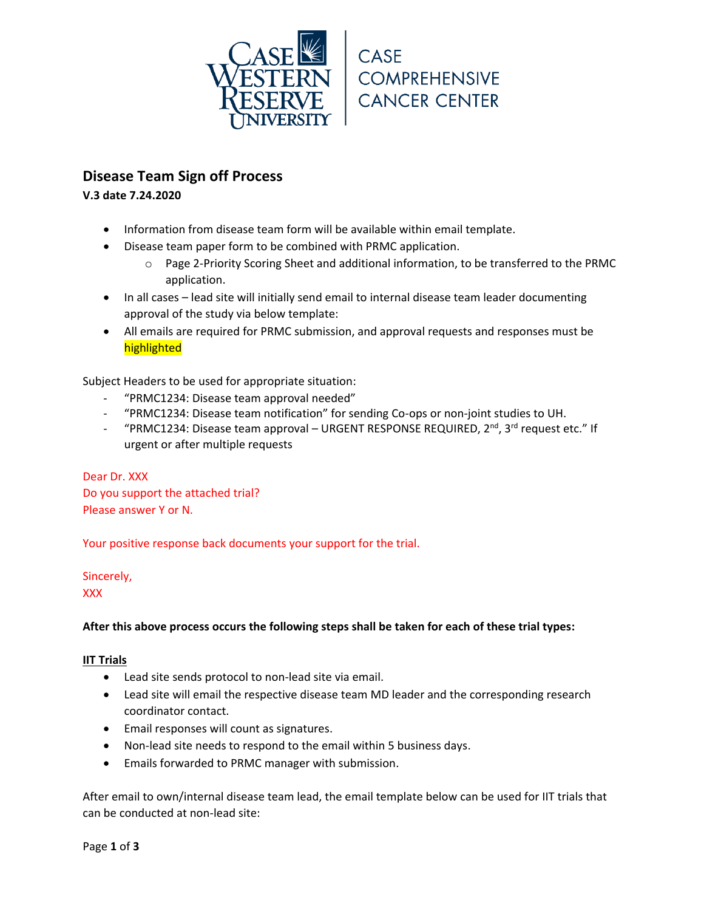

# **Disease Team Sign off Process**

**V.3 date 7.24.2020**

- Information from disease team form will be available within email template.
- Disease team paper form to be combined with PRMC application.
	- o Page 2-Priority Scoring Sheet and additional information, to be transferred to the PRMC application.
- In all cases lead site will initially send email to internal disease team leader documenting approval of the study via below template:
- All emails are required for PRMC submission, and approval requests and responses must be highlighted

Subject Headers to be used for appropriate situation:

- "PRMC1234: Disease team approval needed"
- "PRMC1234: Disease team notification" for sending Co-ops or non-joint studies to UH.
- "PRMC1234: Disease team approval URGENT RESPONSE REQUIRED,  $2^{nd}$ ,  $3^{rd}$  request etc." If urgent or after multiple requests

Dear Dr. XXX Do you support the attached trial? Please answer Y or N.

Your positive response back documents your support for the trial.

Sincerely,

XXX

# **After this above process occurs the following steps shall be taken for each of these trial types:**

# **IIT Trials**

- Lead site sends protocol to non-lead site via email.
- Lead site will email the respective disease team MD leader and the corresponding research coordinator contact.
- Email responses will count as signatures.
- Non-lead site needs to respond to the email within 5 business days.
- Emails forwarded to PRMC manager with submission.

After email to own/internal disease team lead, the email template below can be used for IIT trials that can be conducted at non-lead site: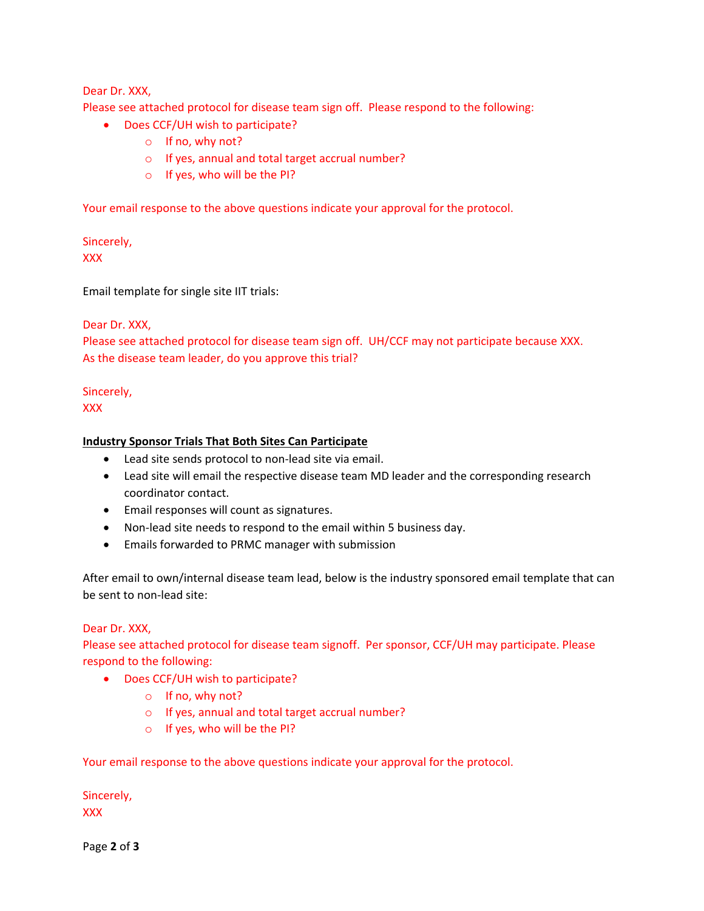# Dear Dr. XXX,

Please see attached protocol for disease team sign off. Please respond to the following:

- Does CCF/UH wish to participate?
	- o If no, why not?
	- o If yes, annual and total target accrual number?
	- o If yes, who will be the PI?

Your email response to the above questions indicate your approval for the protocol.

Sincerely, XXX

Email template for single site IIT trials:

## Dear Dr. XXX,

Please see attached protocol for disease team sign off. UH/CCF may not participate because XXX. As the disease team leader, do you approve this trial?

## Sincerely,

XXX

## **Industry Sponsor Trials That Both Sites Can Participate**

- Lead site sends protocol to non-lead site via email.
- Lead site will email the respective disease team MD leader and the corresponding research coordinator contact.
- Email responses will count as signatures.
- Non-lead site needs to respond to the email within 5 business day.
- Emails forwarded to PRMC manager with submission

After email to own/internal disease team lead, below is the industry sponsored email template that can be sent to non-lead site:

#### Dear Dr. XXX,

Please see attached protocol for disease team signoff. Per sponsor, CCF/UH may participate. Please respond to the following:

- Does CCF/UH wish to participate?
	- o If no, why not?
	- o If yes, annual and total target accrual number?
	- o If yes, who will be the PI?

Your email response to the above questions indicate your approval for the protocol.

Sincerely, XXX